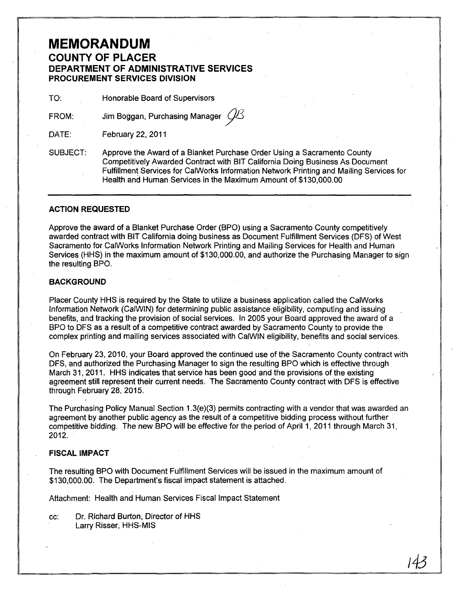# **MEMORANDUM**

### **COUNTY OF PLACER DEPARTMENT OF ADMINISTRATIVE SERVICES PROCUREMENT SERVICES DIVISION**

TO: Honorable Board of Supervisors

FROM:

Jim Boggan, Purchasing Manager  $\mathcal{U}$ 3

DATE: February 22, 2011

SUBJECT: Approve the Award of a Blanket Purchase Order Using a Sacramento County Competitively Awarded Contract with BIT California Doing Business As Document Fulfillment Services for CalWorks Information Network Printing and Mailing Services for Health and Human Services in the Maximum Amount of \$130,000.00

#### **ACTION REQUESTED**

Approve the award of a Blanket Purchase Order (BPO) using a Sacramento County competitively awarded contract with BIT California doing business as Document Fulfillment Services (DFS) of West Sacramento for CalWorks Information Network Printing and Mailing Services for Health and Human Services (HHS) in the maximum amount of \$130,000.00, and authorize the Purchasing Manager to sign the resulting BPO.

#### **BACKGROUND**

Placer County HHS is required by the State to utilize a business application called the CalWorks Information Network (CaIWIN) for determining public assistance eligibility, computing and issuing benefits, and tracking the provision of social services. tn 2005 your Board approved the award of a BPO to DFS as a result of a competitive contract awarded by Sacramento County to provide the complex printing and mailing services associated with CalWIN eligibility, benefits and social services.

On February 23, 2010, your Board approved the continued use of the Sacramento County contract with DFS, and authorized the Purchasing Manager to sign the resulting BPO which is effective through March 31, 2011. HHS indicates that service has been good and the provisions of the existing agreement still represent their current needs. The Sacramento County contract with DFS is effective through February 28, 2015.

The Purchasing Policy Manual Section 1.3(e)(3) permits contracting with a vendor that was awarded an agreement by another public agency as the result of a competitive bidding process without further competitive bidding. The new BPO will be effective for the period of April 1, 2011 through March 31, 2012.

143

#### **FISCAL IMPACT**

The resulting BPO with Document Fulfillment Services will be issued in the maximum amount of \$130,000.00. The Department's fiscal impact statement is attached.

Attachment: Health and Human Services Fiscal Impact Statement

cc: Dr. Richard Burton, Director of HHS Larry Risser, HHS-MIS